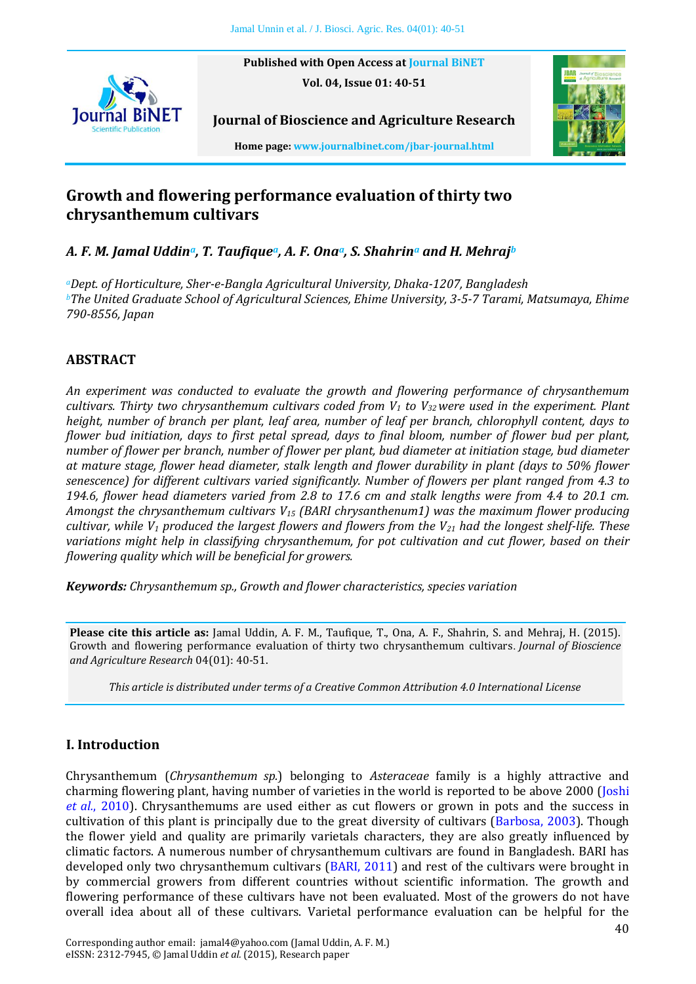**Published with Open Access at [Journal BiNET](http://www.journalbinet.com/) Vol. 04, Issue 01: 40-51**



**Home page[: www.journalbinet.com/jbar-journal.html](http://www.journalbinet.com/jbar-journal.html)**

**Journal of Bioscience and Agriculture Research**

# **Growth and flowering performance evaluation of thirty two chrysanthemum cultivars**

*A. F. M. Jamal Uddina, T. Taufiquea, A. F. Onaa, S. Shahrin<sup>a</sup> and H. Mehraj<sup>b</sup>*

*<sup>a</sup>Dept. of Horticulture, Sher-e-Bangla Agricultural University, Dhaka-1207, Bangladesh <sup>b</sup>The United Graduate School of Agricultural Sciences, Ehime University, 3-5-7 Tarami, Matsumaya, Ehime 790-8556, Japan*

# **ABSTRACT**

*An experiment was conducted to evaluate the growth and flowering performance of chrysanthemum cultivars. Thirty two chrysanthemum cultivars coded from V<sup>1</sup> to V32 were used in the experiment. Plant height, number of branch per plant, leaf area, number of leaf per branch, chlorophyll content, days to flower bud initiation, days to first petal spread, days to final bloom, number of flower bud per plant, number of flower per branch, number of flower per plant, bud diameter at initiation stage, bud diameter at mature stage, flower head diameter, stalk length and flower durability in plant (days to 50% flower senescence) for different cultivars varied significantly. Number of flowers per plant ranged from 4.3 to 194.6, flower head diameters varied from 2.8 to 17.6 cm and stalk lengths were from 4.4 to 20.1 cm. Amongst the chrysanthemum cultivars V<sup>15</sup> (BARI chrysanthenum1) was the maximum flower producing cultivar, while V<sup>1</sup> produced the largest flowers and flowers from the V<sup>21</sup> had the longest shelf-life. These variations might help in classifying chrysanthemum, for pot cultivation and cut flower, based on their flowering quality which will be beneficial for growers.*

*Keywords: Chrysanthemum sp., Growth and flower characteristics, species variation*

**Please cite this article as:** Jamal Uddin, A. F. M., Taufique, T., Ona, A. F., Shahrin, S. and Mehraj, H. (2015). Growth and flowering performance evaluation of thirty two chrysanthemum cultivars. *Journal of Bioscience and Agriculture Research* 04(01): 40-51.

*This article is distributed under terms of a Creative Common Attribution 4.0 International License*

## **I. Introduction**

Chrysanthemum (*Chrysanthemum sp.*) belonging to *Asteraceae* family is a highly attractive and charming flowering plant, having number of varieties in the world is reported to be above 2000 [\(Joshi](#page-9-0)  *et al.*[, 2010\)](#page-9-0). Chrysanthemums are used either as cut flowers or grown in pots and the success in cultivation of this plant is principally due to the great diversity of cultivars [\(Barbosa, 2003\)](#page-8-0). Though the flower yield and quality are primarily varietals characters, they are also greatly influenced by climatic factors. A numerous number of chrysanthemum cultivars are found in Bangladesh. BARI has developed only two chrysanthemum cultivars [\(BARI, 2011\)](#page-8-1) and rest of the cultivars were brought in by commercial growers from different countries without scientific information. The growth and flowering performance of these cultivars have not been evaluated. Most of the growers do not have overall idea about all of these cultivars. Varietal performance evaluation can be helpful for the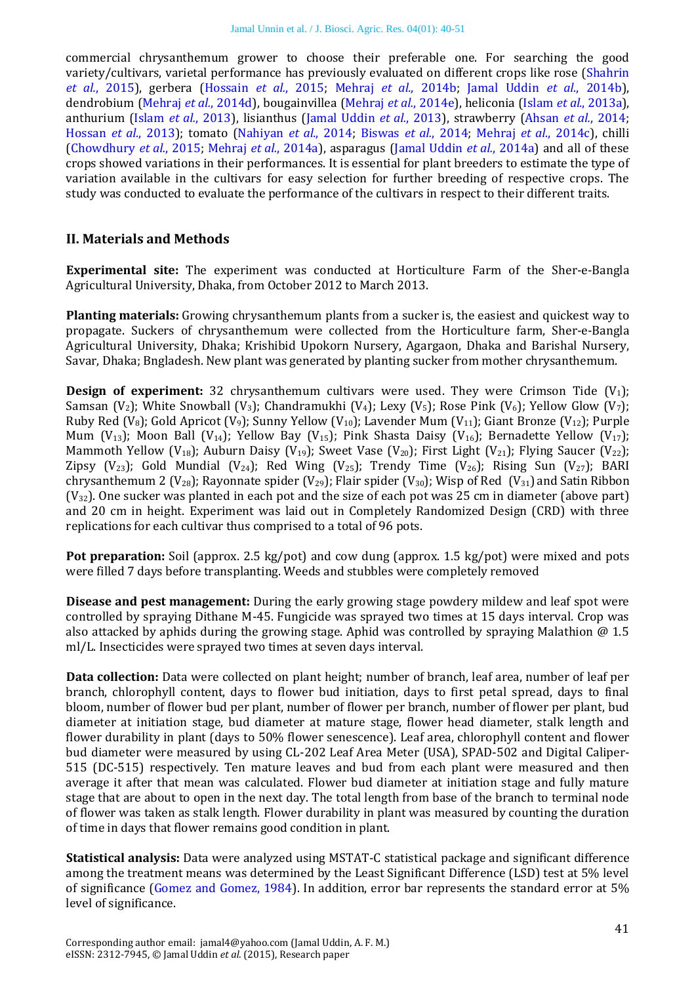commercial chrysanthemum grower to choose their preferable one. For searching the good variety/cultivars, varietal performance has previously evaluated on different crops like rose [\(Shahrin](#page-11-0)  *et al.*[, 2015\)](#page-11-0), gerbera [\(Hossain](#page-9-1) *et al.*, 2015; Mehraj *et al.*[, 2014b;](#page-10-0) [Jamal Uddin](#page-9-2) *et al.*, 2014b), dendrobium [\(Mehraj](#page-10-1) *et al.*, 2014d), bougainvillea [\(Mehraj](#page-10-2) *et al.*, 2014e), heliconia (Islam *et al.*[, 2013a\)](#page-9-3), anthurium (Islam *et al.*[, 2013\)](#page-9-4), lisianthus [\(Jamal Uddin](#page-9-5) *et al.*, 2013), strawberry [\(Ahsan](#page-8-2) *et al.*, 2014; [Hossan](#page-9-6) *et al.*, 2013); tomato [\(Nahiyan](#page-10-3) *et al.*, 2014; [Biswas](#page-9-7) *et al.*, 2014; Mehraj *et al.*[, 2014c\)](#page-10-4), chilli [\(Chowdhury](#page-9-8) *et al.*, 2015; Mehraj *et al.*[, 2014a\)](#page-10-5), asparagus [\(Jamal Uddin](#page-9-9) *et al.*, 2014a) and all of these crops showed variations in their performances. It is essential for plant breeders to estimate the type of variation available in the cultivars for easy selection for further breeding of respective crops. The study was conducted to evaluate the performance of the cultivars in respect to their different traits.

#### **II. Materials and Methods**

**Experimental site:** The experiment was conducted at Horticulture Farm of the Sher-e-Bangla Agricultural University, Dhaka, from October 2012 to March 2013.

**Planting materials:** Growing chrysanthemum plants from a sucker is, the easiest and quickest way to propagate. Suckers of chrysanthemum were collected from the Horticulture farm, Sher-e-Bangla Agricultural University, Dhaka; Krishibid Upokorn Nursery, Agargaon, Dhaka and Barishal Nursery, Savar, Dhaka; Bngladesh. New plant was generated by planting sucker from mother chrysanthemum.

**Design of experiment:** 32 chrysanthemum cultivars were used. They were Crimson Tide  $(V_1)$ ; Samsan (V<sub>2</sub>); White Snowball (V<sub>3</sub>); Chandramukhi (V<sub>4</sub>); Lexy (V<sub>5</sub>); Rose Pink (V<sub>6</sub>); Yellow Glow (V<sub>7</sub>); Ruby Red (V<sub>8</sub>); Gold Apricot (V<sub>9</sub>); Sunny Yellow (V<sub>10</sub>); Lavender Mum (V<sub>11</sub>); Giant Bronze (V<sub>12</sub>); Purple Mum (V<sub>13</sub>); Moon Ball (V<sub>14</sub>); Yellow Bay (V<sub>15</sub>); Pink Shasta Daisy (V<sub>16</sub>); Bernadette Yellow (V<sub>17</sub>); Mammoth Yellow (V<sub>18</sub>); Auburn Daisy (V<sub>19</sub>); Sweet Vase (V<sub>20</sub>); First Light (V<sub>21</sub>); Flying Saucer (V<sub>22</sub>); Zipsy (V<sub>23</sub>); Gold Mundial (V<sub>24</sub>); Red Wing (V<sub>25</sub>); Trendy Time (V<sub>26</sub>); Rising Sun (V<sub>27</sub>); BARI chrysanthemum 2 (V<sub>28</sub>); Rayonnate spider (V<sub>29</sub>); Flair spider (V<sub>30</sub>); Wisp of Red (V<sub>31</sub>) and Satin Ribbon  $(V_{32})$ . One sucker was planted in each pot and the size of each pot was 25 cm in diameter (above part) and 20 cm in height. Experiment was laid out in Completely Randomized Design (CRD) with three replications for each cultivar thus comprised to a total of 96 pots.

**Pot preparation:** Soil (approx. 2.5 kg/pot) and cow dung (approx. 1.5 kg/pot) were mixed and pots were filled 7 days before transplanting. Weeds and stubbles were completely removed

**Disease and pest management:** During the early growing stage powdery mildew and leaf spot were controlled by spraying Dithane M-45. Fungicide was sprayed two times at 15 days interval. Crop was also attacked by aphids during the growing stage. Aphid was controlled by spraying Malathion @ 1.5 ml/L. Insecticides were sprayed two times at seven days interval.

**Data collection:** Data were collected on plant height; number of branch, leaf area, number of leaf per branch, chlorophyll content, days to flower bud initiation, days to first petal spread, days to final bloom, number of flower bud per plant, number of flower per branch, number of flower per plant, bud diameter at initiation stage, bud diameter at mature stage, flower head diameter, stalk length and flower durability in plant (days to 50% flower senescence). Leaf area, chlorophyll content and flower bud diameter were measured by using CL-202 Leaf Area Meter (USA), SPAD-502 and Digital Caliper-515 (DC-515) respectively. Ten mature leaves and bud from each plant were measured and then average it after that mean was calculated. Flower bud diameter at initiation stage and fully mature stage that are about to open in the next day. The total length from base of the branch to terminal node of flower was taken as stalk length. Flower durability in plant was measured by counting the duration of time in days that flower remains good condition in plant.

**Statistical analysis:** Data were analyzed using MSTAT-C statistical package and significant difference among the treatment means was determined by the Least Significant Difference (LSD) test at 5% level of significance [\(Gomez and Gomez,](#page-9-10) 1984). In addition, error bar represents the standard error at 5% level of significance.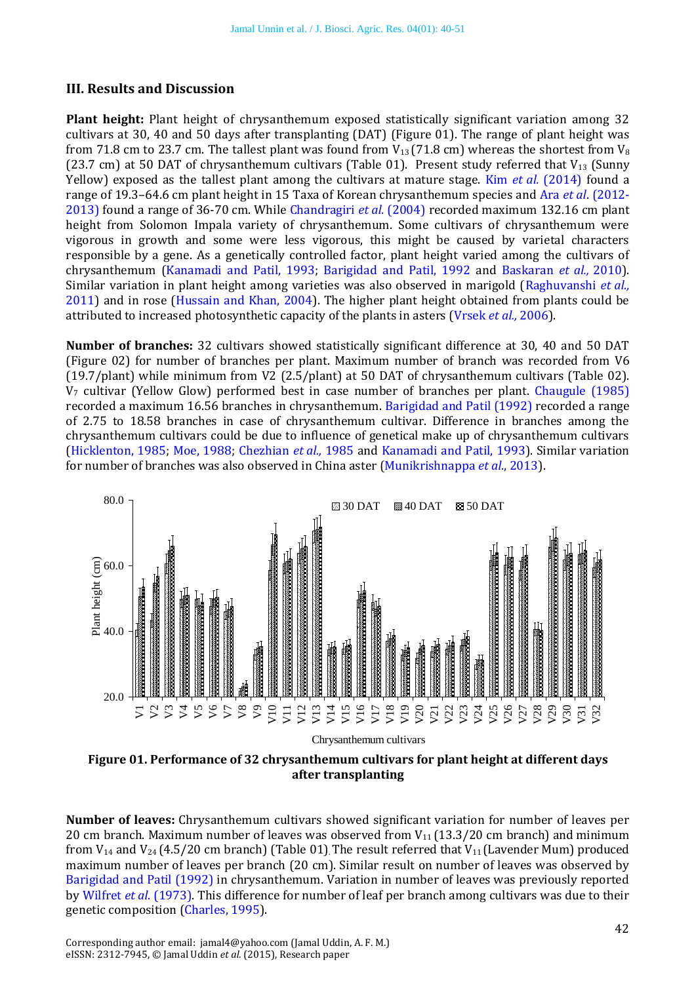#### **III. Results and Discussion**

**Plant height:** Plant height of chrysanthemum exposed statistically significant variation among 32 cultivars at 30, 40 and 50 days after transplanting (DAT) (Figure 01). The range of plant height was from 71.8 cm to 23.7 cm. The tallest plant was found from  $V_{13}$  (71.8 cm) whereas the shortest from  $V_8$ (23.7 cm) at 50 DAT of chrysanthemum cultivars (Table 01). Present study referred that  $V_{13}$  (Sunny Yellow) exposed as the tallest plant among the cultivars at mature stage. Kim *et al.* [\(2014\)](#page-10-6) found a range of 19.3–64.6 cm plant height in 15 Taxa of Korean chrysanthemum species and Ara *et al*[. \(2012-](#page-8-3) [2013\)](#page-8-3) found a range of 36-70 cm. While [Chandragiri](#page-9-11) *et al.* (2004) recorded maximum 132.16 cm plant height from Solomon Impala variety of chrysanthemum. Some cultivars of chrysanthemum were vigorous in growth and some were less vigorous, this might be caused by varietal characters responsible by a gene. As a genetically controlled factor, plant height varied among the cultivars of chrysanthemum [\(Kanamadi and Patil, 1993;](#page-9-12) [Barigidad and Patil, 1992](#page-8-4) and [Baskaran](#page-8-5) *et al.,* 2010). Similar variation in plant height among varieties was also observed in marigold [\(Raghuvanshi](#page-10-7) *et al.,* [2011\)](#page-10-7) and in rose [\(Hussain and Khan, 2004\)](#page-9-13). The higher plant height obtained from plants could be attributed to increased photosynthetic capacity of the plants in asters [\(Vrsek](#page-11-1) *et al.,* 2006).

**Number of branches:** 32 cultivars showed statistically significant difference at 30, 40 and 50 DAT (Figure 02) for number of branches per plant. Maximum number of branch was recorded from V6 (19.7/plant) while minimum from V2 (2.5/plant) at 50 DAT of chrysanthemum cultivars (Table 02). V<sup>7</sup> cultivar (Yellow Glow) performed best in case number of branches per plant. [Chaugule \(1985\)](#page-9-14) recorded a maximum 16.56 branches in chrysanthemum. [Barigidad and Patil](#page-8-4) (1992) recorded a range of 2.75 to 18.58 branches in case of chrysanthemum cultivar. Difference in branches among the chrysanthemum cultivars could be due to influence of genetical make up of chrysanthemum cultivars [\(Hicklenton, 1985;](#page-9-15) [Moe, 1988;](#page-10-8) [Chezhian](#page-9-16) *et al.,* 1985 and [Kanamadi and Patil, 1993\)](#page-9-12). Similar variation for number of branches was also observed in China aster [\(Munikrishnappa](#page-10-9) *et al*., 2013).



**Figure 01. Performance of 32 chrysanthemum cultivars for plant height at different days after transplanting**

**Number of leaves:** Chrysanthemum cultivars showed significant variation for number of leaves per 20 cm branch. Maximum number of leaves was observed from  $V_{11}$  (13.3/20 cm branch) and minimum from  $V_{14}$  and  $V_{24}$  (4.5/20 cm branch) (Table 01). The result referred that  $V_{11}$  (Lavender Mum) produced maximum number of leaves per branch (20 cm). Similar result on number of leaves was observed by [Barigidad and Patil \(1992\)](#page-8-4) in chrysanthemum. Variation in number of leaves was previously reported by Wilfret *et al*[. \(1973\).](#page-11-2) This difference for number of leaf per branch among cultivars was due to their genetic composition [\(Charles, 1995\)](#page-9-17).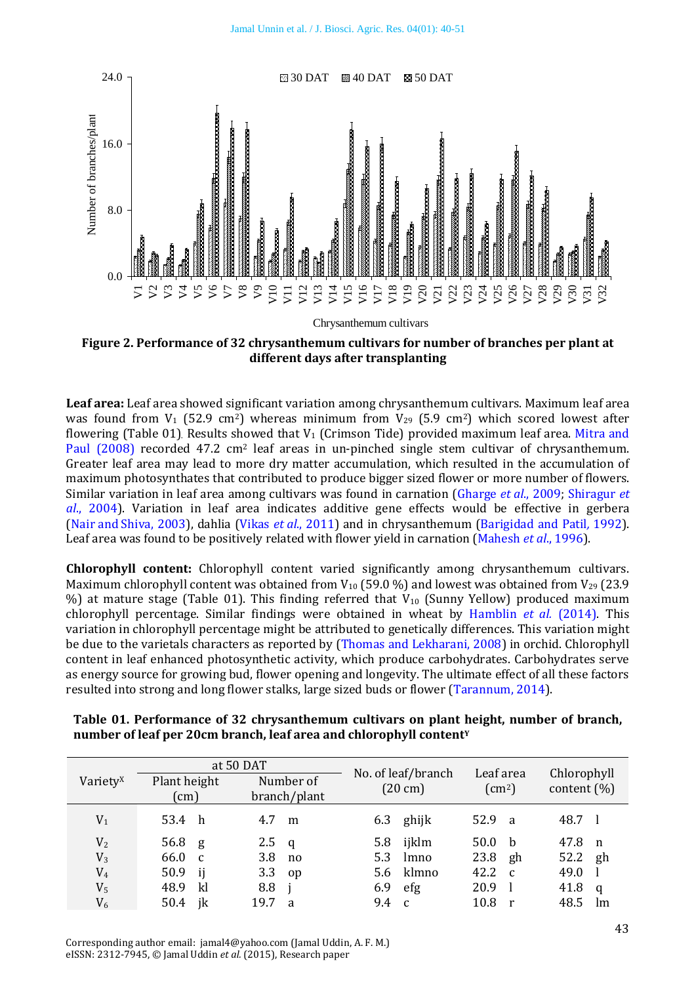

**Figure 2. Performance of 32 chrysanthemum cultivars for number of branches per plant at different days after transplanting**

**Leaf area:** Leaf area showed significant variation among chrysanthemum cultivars. Maximum leaf area was found from  $V_1$  (52.9 cm<sup>2</sup>) whereas minimum from  $V_{29}$  (5.9 cm<sup>2</sup>) which scored lowest after flowering (Table 01). Results showed that  $V_1$  (Crimson Tide) provided maximum leaf area. Mitra and [Paul \(2008\)](#page-10-10) recorded 47.2 cm<sup>2</sup> leaf areas in un-pinched single stem cultivar of chrysanthemum. Greater leaf area may lead to more dry matter accumulation, which resulted in the accumulation of maximum photosynthates that contributed to produce bigger sized flower or more number of flowers. Similar variation in leaf area among cultivars was found in carnation [\(Gharge](#page-9-18) *et al*., 2009; [Shiragur](#page-11-3) *et al*[., 2004\)](#page-11-3). Variation in leaf area indicates additive gene effects would be effective in gerbera (Nair and [Shiva, 2003\)](#page-10-11), dahlia [\(Vikas](#page-11-4) *et al*., 2011) and in chrysanthemum [\(Barigidad and Patil](#page-8-4)*,* 1992). Leaf area was found to be positively related with flower yield in carnation [\(Mahesh](#page-10-12) *et al*., 1996).

**Chlorophyll content:** Chlorophyll content varied significantly among chrysanthemum cultivars. Maximum chlorophyll content was obtained from  $V_{10}$  (59.0 %) and lowest was obtained from  $V_{29}$  (23.9 %) at mature stage (Table 01). This finding referred that  $V_{10}$  (Sunny Yellow) produced maximum chlorophyll percentage. Similar findings were obtained in wheat by [Hamblin](#page-9-19) *et al.* (2014). This variation in chlorophyll percentage might be attributed to genetically differences. This variation might be due to the varietals characters as reported by [\(Thomas and Lekharani, 2008\)](#page-11-5) in orchid. Chlorophyll content in leaf enhanced photosynthetic activity, which produce carbohydrates. Carbohydrates serve as energy source for growing bud, flower opening and longevity. The ultimate effect of all these factors resulted into strong and long flower stalks, large sized buds or flower [\(Tarannum, 2014\)](#page-11-6).

|                      |              | at 50 DAT    | No. of leaf/branch  | Leaf area              | Chlorophyll           |  |  |
|----------------------|--------------|--------------|---------------------|------------------------|-----------------------|--|--|
| Variety <sup>x</sup> | Plant height | Number of    | $(20 \text{ cm})$   | $\text{(cm}^2\text{)}$ | content $(\% )$       |  |  |
|                      | (cm)         | branch/plant |                     |                        |                       |  |  |
| $V_1$                | 53.4 h       | 4.7<br>m     | ghijk<br>6.3        | 52.9 a                 | 48.7 l                |  |  |
| V <sub>2</sub>       | 56.8 $g$     | 2.5 $q$      | 5.8 ijklm           | 50.0<br>- b            | 47.8<br>n             |  |  |
| $V_3$                | 66.0 c       | 3.8<br>no    | 5.3<br>lmno         | 23.8<br>gh             | 52.2<br>gh            |  |  |
| V <sub>4</sub>       | 50.9<br>ij   | 3.3<br>op    | 5.6 klmno           | 42.2<br>$\mathbf{C}$   | 49.0                  |  |  |
| V <sub>5</sub>       | kl<br>48.9   | 8.8          | 6.9<br>efg          | 20.9                   | 41.8<br>q             |  |  |
| $V_6$                | jk<br>50.4   | 19.7<br>a    | 9.4<br>$\mathbf{C}$ | 10.8<br>r              | 48.5<br><sub>Im</sub> |  |  |

**Table 01. Performance of 32 chrysanthemum cultivars on plant height, number of branch, number of leaf per 20cm branch, leaf area and chlorophyll content<sup>Y</sup>**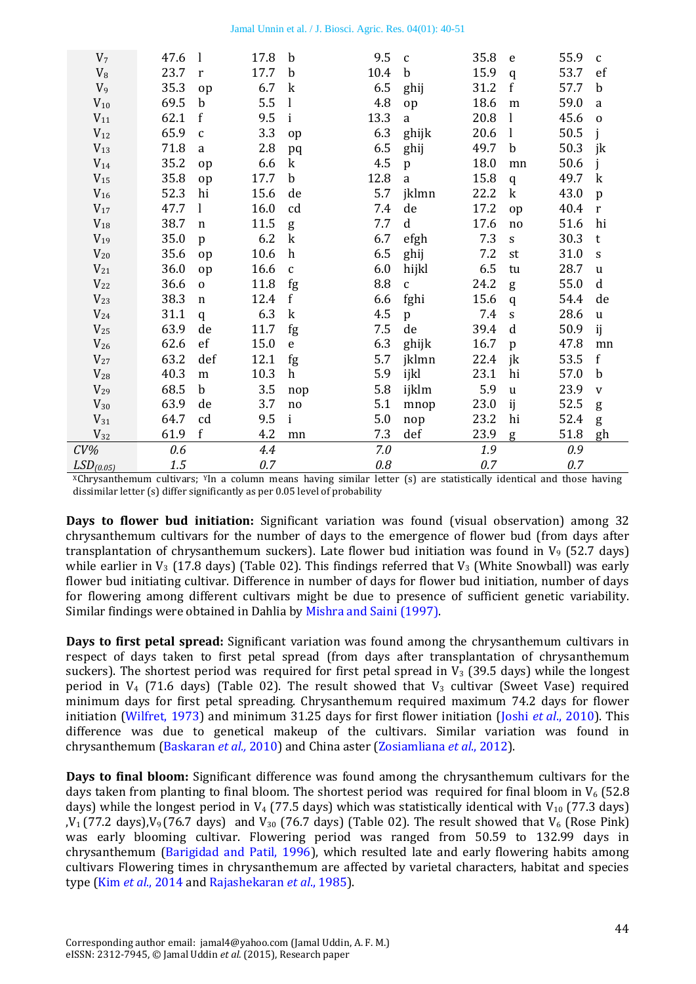| V <sub>7</sub>        | 47.6 | $\mathbf{l}$ | 17.8 | $\mathbf b$      | 9.5  | $\mathbf{C}$ | 35.8 | e                         | 55.9 | $\mathbf c$  |
|-----------------------|------|--------------|------|------------------|------|--------------|------|---------------------------|------|--------------|
| $V_8$                 | 23.7 | $\mathbf{r}$ | 17.7 | $\mathbf b$      | 10.4 | $\mathbf b$  | 15.9 | q                         | 53.7 | ef           |
| $V_9$                 | 35.3 | op           | 6.7  | $\mathbf k$      | 6.5  | ghij         | 31.2 | $\mathbf f$               | 57.7 | $\mathbf b$  |
| $V_{10}$              | 69.5 | $\mathbf b$  | 5.5  | $\mathbf{l}$     | 4.8  | op           | 18.6 | ${\bf m}$                 | 59.0 | a            |
| $V_{11}$              | 62.1 | f            | 9.5  | $\mathbf{i}$     | 13.3 | a            | 20.8 | $\bf{l}$                  | 45.6 | $\mathbf 0$  |
| $V_{12}$              | 65.9 | $\mathbf c$  | 3.3  | op               | 6.3  | ghijk        | 20.6 | $\mathbf{l}$              | 50.5 |              |
| $V_{13}$              | 71.8 | a            | 2.8  | pq               | 6.5  | ghij         | 49.7 | $\mathbf b$               | 50.3 | jk           |
| $V_{14}$              | 35.2 | op           | 6.6  | $\mathbf k$      | 4.5  | p            | 18.0 | mn                        | 50.6 |              |
| $V_{15}$              | 35.8 | op           | 17.7 | $\mathbf b$      | 12.8 | a            | 15.8 | q                         | 49.7 | $\mathbf k$  |
| $V_{16}$              | 52.3 | hi           | 15.6 | de               | 5.7  | jklmn        | 22.2 | $\mathbf k$               | 43.0 | p            |
| $V_{17}$              | 47.7 | 1            | 16.0 | cd               | 7.4  | de           | 17.2 | op                        | 40.4 | $\mathbf r$  |
| $V_{18}$              | 38.7 | $\mathbf n$  | 11.5 | g                | 7.7  | $\mathbf d$  | 17.6 | no                        | 51.6 | hi           |
| $V_{19}$              | 35.0 | $\mathbf{p}$ | 6.2  | $\mathbf k$      | 6.7  | efgh         | 7.3  | $\boldsymbol{\mathsf{S}}$ | 30.3 | t            |
| $V_{20}$              | 35.6 | op           | 10.6 | $\boldsymbol{h}$ | 6.5  | ghij         | 7.2  | st                        | 31.0 | $\mathbf S$  |
| $V_{21}$              | 36.0 | op           | 16.6 | $\mathbf c$      | 6.0  | hijkl        | 6.5  | tu                        | 28.7 | $\mathbf u$  |
| $V_{22}$              | 36.6 | $\mathbf 0$  | 11.8 | fg               | 8.8  | $\mathsf C$  | 24.2 | g                         | 55.0 | d            |
| $V_{23}$              | 38.3 | n            | 12.4 | $\mathbf f$      | 6.6  | fghi         | 15.6 | q                         | 54.4 | de           |
| $V_{24}$              | 31.1 | q            | 6.3  | $\mathbf k$      | 4.5  | $\mathbf{p}$ | 7.4  | $\mathbf S$               | 28.6 | $\mathbf u$  |
| $V_{25}$              | 63.9 | de           | 11.7 | fg               | 7.5  | de           | 39.4 | d                         | 50.9 | ij           |
| $V_{26}$              | 62.6 | ef           | 15.0 | $\mathbf e$      | 6.3  | ghijk        | 16.7 | p                         | 47.8 | mn           |
| $V_{27}$              | 63.2 | def          | 12.1 | fg               | 5.7  | jklmn        | 22.4 | jk                        | 53.5 | $\mathbf f$  |
| $V_{28}$              | 40.3 | m            | 10.3 | $\boldsymbol{h}$ | 5.9  | ijkl         | 23.1 | hi                        | 57.0 | $\mathbf b$  |
| $V_{29}$              | 68.5 | $\mathbf b$  | 3.5  | nop              | 5.8  | ijklm        | 5.9  | $\mathbf{u}$              | 23.9 | $\mathbf{V}$ |
| $V_{30}$              | 63.9 | de           | 3.7  | no               | 5.1  | mnop         | 23.0 | ij                        | 52.5 | g            |
| $V_{31}$              | 64.7 | cd           | 9.5  | $\mathbf i$      | 5.0  | nop          | 23.2 | hi                        | 52.4 | g            |
| $V_{32}$              | 61.9 | $\mathbf f$  | 4.2  | mn               | 7.3  | def          | 23.9 | g                         | 51.8 | gh           |
| $CV\%$                | 0.6  |              | 4.4  |                  | 7.0  |              | 1.9  |                           | 0.9  |              |
| LSD <sub>(0.05)</sub> | 1.5  |              | 0.7  |                  | 0.8  |              | 0.7  |                           | 0.7  |              |

<sup>X</sup>Chrysanthemum cultivars; YIn a column means having similar letter (s) are statistically identical and those having dissimilar letter (s) differ significantly as per 0.05 level of probability

**Days to flower bud initiation:** Significant variation was found (visual observation) among 32 chrysanthemum cultivars for the number of days to the emergence of flower bud (from days after transplantation of chrysanthemum suckers). Late flower bud initiation was found in  $V_9$  (52.7 days) while earlier in  $V_3$  (17.8 days) (Table 02). This findings referred that  $V_3$  (White Snowball) was early flower bud initiating cultivar. Difference in number of days for flower bud initiation, number of days for flowering among different cultivars might be due to presence of sufficient genetic variability. Similar findings were obtained in Dahlia by [Mishra and Saini \(1997\).](#page-10-13)

**Days to first petal spread:** Significant variation was found among the chrysanthemum cultivars in respect of days taken to first petal spread (from days after transplantation of chrysanthemum suckers). The shortest period was required for first petal spread in  $V_3$  (39.5 days) while the longest period in  $V_4$  (71.6 days) (Table 02). The result showed that  $V_3$  cultivar (Sweet Vase) required minimum days for first petal spreading. Chrysanthemum required maximum 74.2 days for flower initiation [\(Wilfret, 1973\)](#page-11-2) and minimum 31.25 days for first flower initiation (Joshi *et al*[., 2010\)](#page-9-0). This difference was due to genetical makeup of the cultivars. Similar variation was found in chrysanthemum [\(Baskaran](#page-8-5) *et al.,* 2010) and China aster [\(Zosiamliana](#page-11-7) *et al*., 2012).

**Days to final bloom:** Significant difference was found among the chrysanthemum cultivars for the days taken from planting to final bloom. The shortest period was required for final bloom in  $V_6$  (52.8) days) while the longest period in V<sub>4</sub> (77.5 days) which was statistically identical with V<sub>10</sub> (77.3 days)  $V_1$  (77.2 days), $V_9$  (76.7 days) and  $V_{30}$  (76.7 days) (Table 02). The result showed that  $V_6$  (Rose Pink) was early blooming cultivar. Flowering period was ranged from 50.59 to 132.99 days in chrysanthemum [\(Barigidad and Patil, 1996\)](#page-8-4), which resulted late and early flowering habits among cultivars Flowering times in chrysanthemum are affected by varietal characters, habitat and species type (Kim *et al*[., 2014](#page-10-6) an[d Rajashekaran](#page-11-8) *et al*., 1985).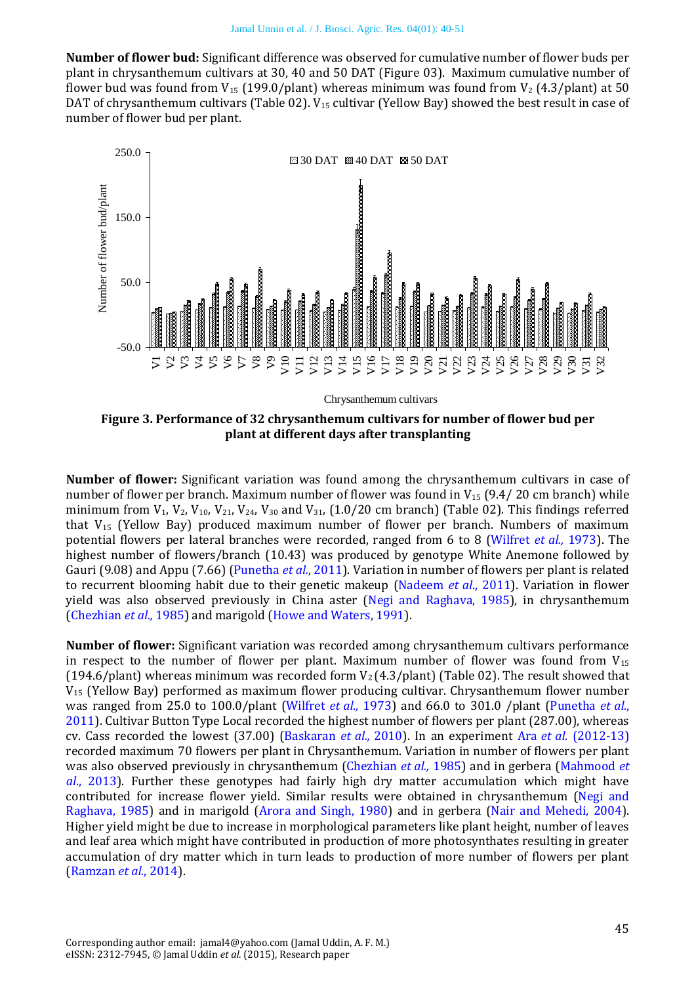**Number of flower bud:** Significant difference was observed for cumulative number of flower buds per plant in chrysanthemum cultivars at 30, 40 and 50 DAT (Figure 03). Maximum cumulative number of flower bud was found from  $V_{15}$  (199.0/plant) whereas minimum was found from  $V_2$  (4.3/plant) at 50 DAT of chrysanthemum cultivars (Table 02). V<sub>15</sub> cultivar (Yellow Bay) showed the best result in case of number of flower bud per plant.



**Figure 3. Performance of 32 chrysanthemum cultivars for number of flower bud per plant at different days after transplanting**

**Number of flower:** Significant variation was found among the chrysanthemum cultivars in case of number of flower per branch. Maximum number of flower was found in V<sub>15</sub> (9.4/20 cm branch) while minimum from  $V_1$ ,  $V_2$ ,  $V_{10}$ ,  $V_{21}$ ,  $V_{24}$ ,  $V_{30}$  and  $V_{31}$ , (1.0/20 cm branch) (Table 02). This findings referred that V<sup>15</sup> (Yellow Bay) produced maximum number of flower per branch. Numbers of maximum potential flowers per lateral branches were recorded, ranged from 6 to 8 [\(Wilfret](#page-11-2) *et al.,* 1973). The highest number of flowers/branch (10.43) was produced by genotype White Anemone followed by Gauri (9.08) and Appu (7.66) [\(Punetha](#page-10-14) *et al.*, 2011). Variation in number of flowers per plant is related to recurrent blooming habit due to their genetic makeup [\(Nadeem](#page-10-15) *et al*., 2011). Variation in flower yield was also observed previously in China aster [\(Negi and Raghava, 1985\)](#page-10-16), in chrysanthemum [\(Chezhian](#page-9-16) *et al.,* 1985) and marigold [\(Howe and Waters, 1991\)](#page-9-20).

**Number of flower:** Significant variation was recorded among chrysanthemum cultivars performance in respect to the number of flower per plant. Maximum number of flower was found from  $V_{15}$ (194.6/plant) whereas minimum was recorded form  $V_2$  (4.3/plant) (Table 02). The result showed that V<sup>15</sup> (Yellow Bay) performed as maximum flower producing cultivar. Chrysanthemum flower number was ranged from 25.0 to 100.0/plant [\(Wilfret](#page-11-2) *et al.,* 1973) and 66.0 to 301.0 /plant [\(Punetha](#page-10-14) *et al.*, [2011\)](#page-10-14). Cultivar Button Type Local recorded the highest number of flowers per plant (287.00), whereas cv. Cass recorded the lowest (37.00) [\(Baskaran](#page-8-5) *et al.,* 2010). In an experiment Ara *et al.* [\(2012-13\)](#page-8-3) recorded maximum 70 flowers per plant in Chrysanthemum. Variation in number of flowers per plant was also observed previously in chrysanthemum [\(Chezhian](#page-9-16) *et al.,* 1985) and in gerbera [\(Mahmood](#page-10-17) *et al*[., 2013\)](#page-10-17). Further these genotypes had fairly high dry matter accumulation which might have contributed for increase flower yield. Similar results were obtained in chrysanthemum [\(Negi and](#page-10-16)  [Raghava, 1985\)](#page-10-16) and in marigold [\(Arora and Singh, 1980\)](#page-8-6) and in gerbera [\(Nair and Mehedi, 2004\)](#page-10-18). Higher yield might be due to increase in morphological parameters like plant height, number of leaves and leaf area which might have contributed in production of more photosynthates resulting in greater accumulation of dry matter which in turn leads to production of more number of flowers per plant [\(Ramzan](#page-11-9) *et al.*, 2014).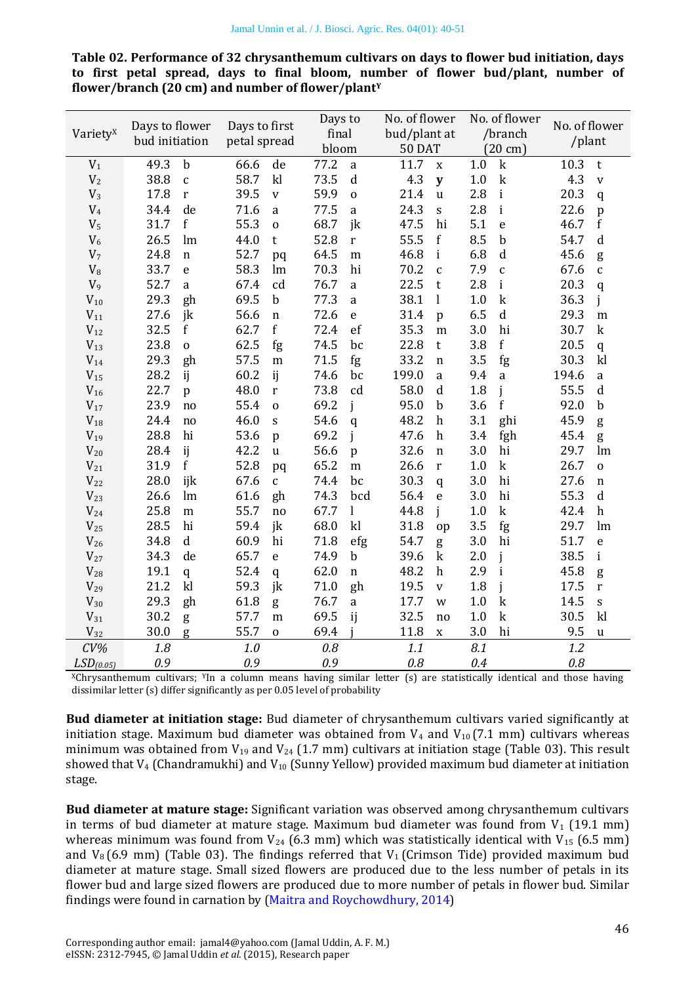**Table 02. Performance of 32 chrysanthemum cultivars on days to flower bud initiation, days to first petal spread, days to final bloom, number of flower bud/plant, number of flower/branch (20 cm) and number of flower/plant<sup>Y</sup>**

| Days to flower        |                | Days to first       | Days to      | No. of flower       | No. of flower     | No. of flower      |
|-----------------------|----------------|---------------------|--------------|---------------------|-------------------|--------------------|
| Variety <sup>x</sup>  | bud initiation |                     | final        | bud/plant at        | /branch           | /plant             |
|                       |                | petal spread        | bloom        | 50 DAT              | $(20 \text{ cm})$ |                    |
| $V_1$                 | 49.3           | 66.6                | 77.2         | 11.7                | 1.0               | 10.3               |
|                       | b              | de                  | $\rm{a}$     | X                   | $\mathbf k$       | t                  |
| V <sub>2</sub>        | 38.8           | 58.7                | 73.5         | 4.3                 | 1.0               | 4.3                |
|                       | $\mathbf{C}$   | k                   | $\mathbf d$  | $\mathbf{y}$        | $\mathbf k$       | $\mathbf V$        |
| $V_3$                 | 17.8           | 39.5                | 59.9         | 21.4                | 2.8               | 20.3               |
|                       | $\mathbf{r}$   | $\mathbf{V}$        | $\mathbf 0$  | $\mathbf{u}$        | $\mathbf{i}$      | q                  |
| V <sub>4</sub>        | de             | 71.6                | 77.5         | 24.3                | 2.8               | 22.6               |
|                       | 34.4           | $\rm{a}$            | $\mathbf{a}$ | $\mathbf S$         | $\mathbf{i}$      | p                  |
| V <sub>5</sub>        | f              | 55.3                | 68.7         | 47.5                | 5.1               | 46.7               |
|                       | 31.7           | $\mathbf 0$         | jk           | hi                  | $\mathbf e$       | $\mathbf f$        |
| $V_6$                 | 26.5           | 44.0                | 52.8         | 55.5                | 8.5               | 54.7               |
|                       | lm             | t                   | $\mathbf r$  | $\mathbf f$         | b                 | $\mathbf d$        |
| V <sub>7</sub>        | 24.8           | 52.7                | 64.5         | 46.8                | 6.8               | 45.6               |
|                       | $\mathbf n$    | pq                  | m            | $\mathbf{i}$        | d                 | g                  |
| $V_8$                 | 33.7           | 58.3                | 70.3         | 70.2                | 7.9               | 67.6               |
|                       | e              | lm                  | hi           | $\mathbf c$         | $\mathbf{C}$      | $\mathbf{C}$       |
| $V_9$                 | 52.7           | 67.4                | 76.7         | 22.5                | 2.8               | 20.3               |
|                       | a              | cd                  | a            | $\sf{t}$            | $\mathbf{i}$      | q                  |
| $V_{10}$              | 29.3           | 69.5                | 77.3         | 38.1                | 1.0               | 36.3               |
|                       | gh             | $\mathbf b$         | a            | 1                   | $\mathbf k$       | j                  |
| $V_{11}$              | 27.6           | 56.6                | 72.6         | 31.4                | 6.5               | 29.3               |
|                       | jk             | $\mathbf n$         | $\mathsf e$  | $\mathbf{p}$        | $\mathbf d$       | ${\bf m}$          |
| $V_{12}$              | 32.5           | f                   | 72.4         | 35.3                | 3.0               | 30.7               |
|                       | $\mathbf f$    | 62.7                | ef           | m                   | hi                | $\mathbf k$        |
| $V_{13}$              | 23.8           | 62.5                | 74.5         | 22.8                | $\mathbf f$       | 20.5               |
|                       | $\mathbf 0$    | fg                  | bc           | t                   | 3.8               | $\mathbf{q}$       |
| $V_{14}$              | 29.3           | 57.5                | 71.5         | 33.2                | 3.5               | 30.3               |
|                       | gh             | m                   | fg           | $\mathbf n$         | fg                | k                  |
| $V_{15}$              | 28.2           | 60.2                | 74.6         | 199.0               | 9.4               | 194.6              |
|                       | ij             | ij                  | bc           | a                   | $\mathbf{a}$      | a                  |
| $V_{16}$              | 22.7           | 48.0                | 73.8         | 58.0                | 1.8               | 55.5               |
|                       | p              | r                   | cd           | $\mathbf d$         | j                 | $\mathbf d$        |
| $V_{17}$              | 23.9           | 55.4                | 69.2         | 95.0                | $\mathbf f$       | 92.0               |
|                       | no             | $\mathbf 0$         | j            | $\mathbf b$         | 3.6               | b                  |
| $V_{18}$              | 24.4           | 46.0                | 54.6         | 48.2                | 3.1               | 45.9               |
|                       | no             | $\mathbf S$         | $\mathbf{q}$ | $\boldsymbol{h}$    | ghi               | g                  |
| $V_{19}$              | 28.8           | 53.6                | 69.2         | 47.6                | 3.4               | 45.4               |
|                       | hi             | $\mathbf{p}$        | j            | $\boldsymbol{h}$    | fgh               | g                  |
| $V_{20}$              | ij             | 42.2                | 56.6         | 32.6                | 3.0               | 29.7               |
|                       | 28.4           | $\mathbf u$         | p            | $\mathbf n$         | hi                | lm                 |
| $V_{21}$              | f              | 52.8                | 65.2         | 26.6                | $\mathbf k$       | 26.7               |
|                       | 31.9           | pq                  | m            | $\mathbf r$         | 1.0               | $\mathbf 0$        |
| $V_{22}$              | 28.0           | 67.6                | 74.4         | 30.3                | 3.0               | 27.6               |
|                       | ijk            | $\mathsf{C}$        | bc           | q                   | hi                | $\mathbf n$        |
| $V_{23}$              | 26.6           | 61.6                | 74.3         | 56.4                | hi                | 55.3               |
|                       | lm             | gh                  | bcd          | $\mathbf{e}$        | 3.0               | $\mathbf d$        |
| $V_{24}$              | 25.8           | 55.7                | 67.7         | j                   | $\mathbf k$       | 42.4               |
|                       | m              | no                  | $\bf{l}$     | 44.8                | 1.0               | $\boldsymbol{h}$   |
| $V_{25}$              | 28.5           | 59.4                | 68.0         | 31.8                | 3.5               | 29.7               |
|                       | hi             | jk                  | k            | op                  | fg                | lm                 |
| $V_{26}$              | 34.8           | 60.9                | 71.8         | 54.7                | 3.0               | 51.7               |
|                       | $\mathbf d$    | hi                  | efg          | g                   | hi                | e                  |
| $V_{27}$              | 34.3           | 65.7                | 74.9         | 39.6                | j                 | 38.5               |
|                       | de             | $\mathbf e$         | $\mathbf b$  | $\mathbf k$         | 2.0               | i                  |
| $V_{28}$              | 19.1           | 52.4                | 62.0         | 48.2                | 2.9               | 45.8               |
|                       | q              | $\mathbf{q}$        | $\mathbf n$  | $\boldsymbol{h}$    | $\mathbf{i}$      | g                  |
| $V_{29}$              | 21.2           | 59.3                | 71.0         | 19.5                | j                 | 17.5               |
|                       | kl             | jk                  | gh           | $\mathbf{V}$        | 1.8               | $\mathbf r$        |
| $V_{30}$              | 29.3           | 61.8                | 76.7         | 17.7                | 1.0               | 14.5               |
|                       | gh             | g                   | $\rm{a}$     | W                   | $\mathbf k$       | $\mathbf S$        |
| $V_{31}$              | 30.2           | 57.7                | 69.5         | 32.5                | $\mathbf k$       | 30.5               |
|                       | g              | m                   | ij           | no                  | 1.0               | k                  |
| $V_{32}$              | 30.0<br>g      | 55.7<br>$\mathbf 0$ | 69.4         | 11.8<br>$\mathbf X$ | hi<br>3.0         | 9.5<br>$\mathbf u$ |
| $CV\%$                | 1.8            | 1.0                 | 0.8          | 1.1                 | 8.1               | 1.2                |
| LSD <sub>(0.05)</sub> | 0.9            | 0.9                 | 0.9          | 0.8                 | 0.4               | 0.8                |

 $XChrysanthemum cultivars; YIn a column means having similar letter (s) are statistically identical and those having$ dissimilar letter (s) differ significantly as per 0.05 level of probability

**Bud diameter at initiation stage:** Bud diameter of chrysanthemum cultivars varied significantly at initiation stage. Maximum bud diameter was obtained from  $V_4$  and  $V_{10}$  (7.1 mm) cultivars whereas minimum was obtained from  $V_{19}$  and  $V_{24}$  (1.7 mm) cultivars at initiation stage (Table 03). This result showed that  $V_4$  (Chandramukhi) and  $V_{10}$  (Sunny Yellow) provided maximum bud diameter at initiation stage.

**Bud diameter at mature stage:** Significant variation was observed among chrysanthemum cultivars in terms of bud diameter at mature stage. Maximum bud diameter was found from  $V_1$  (19.1 mm) whereas minimum was found from  $V_{24}$  (6.3 mm) which was statistically identical with  $V_{15}$  (6.5 mm) and  $V_8$  (6.9 mm) (Table 03). The findings referred that  $V_1$  (Crimson Tide) provided maximum bud diameter at mature stage. Small sized flowers are produced due to the less number of petals in its flower bud and large sized flowers are produced due to more number of petals in flower bud. Similar findings were found in carnation by [\(Maitra and Roychowdhury, 2014\)](#page-10-10)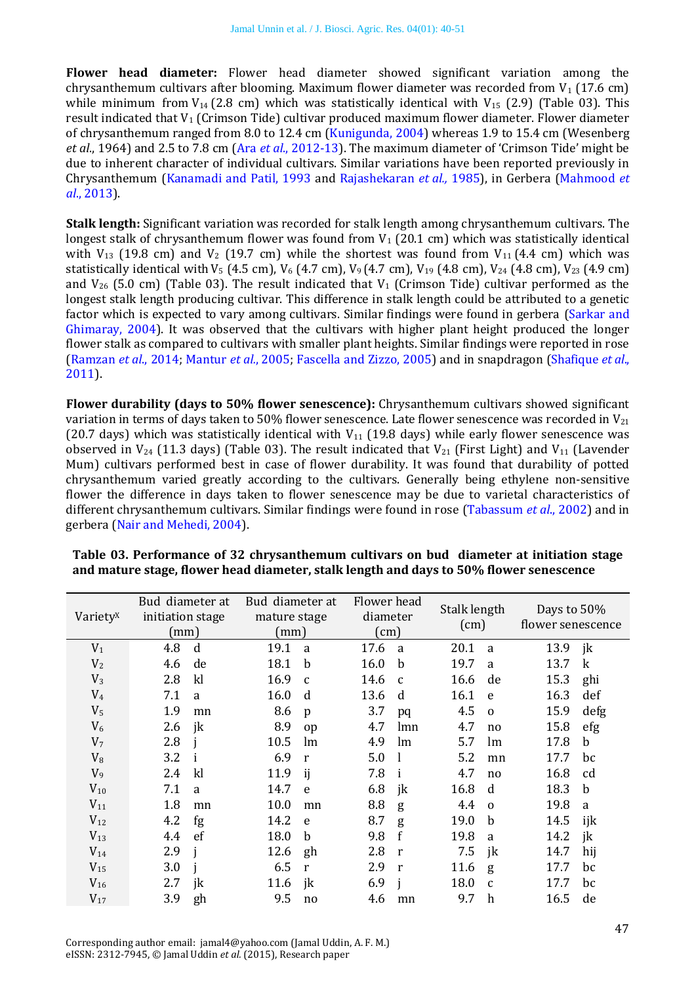**Flower head diameter:** Flower head diameter showed significant variation among the chrysanthemum cultivars after blooming. Maximum flower diameter was recorded from  $V_1$  (17.6 cm) while minimum from  $V_{14}$  (2.8 cm) which was statistically identical with  $V_{15}$  (2.9) (Table 03). This result indicated that  $V_1$  (Crimson Tide) cultivar produced maximum flower diameter. Flower diameter of chrysanthemum ranged from 8.0 to 12.4 cm [\(Kunigunda, 2004\)](#page-10-19) whereas 1.9 to 15.4 cm (Wesenberg *et al*., 1964) and 2.5 to 7.8 cm (Ara *et al*[., 2012-13](#page-8-3)). The maximum diameter of 'Crimson Tide' might be due to inherent character of individual cultivars. Similar variations have been reported previously in Chrysanthemum [\(Kanamadi and Patil, 1993](#page-9-12) and [Rajashekaran](#page-11-8) *et al.,* 1985), in Gerbera [\(Mahmood](#page-10-17) *et al*[., 2013\)](#page-10-17).

**Stalk length:** Significant variation was recorded for stalk length among chrysanthemum cultivars. The longest stalk of chrysanthemum flower was found from  $V_1$  (20.1 cm) which was statistically identical with  $V_{13}$  (19.8 cm) and  $V_2$  (19.7 cm) while the shortest was found from  $V_{11}$  (4.4 cm) which was statistically identical with V<sub>5</sub> (4.5 cm), V<sub>6</sub> (4.7 cm), V<sub>9</sub> (4.7 cm), V<sub>19</sub> (4.8 cm), V<sub>24</sub> (4.8 cm), V<sub>23</sub> (4.9 cm) and  $V_{26}$  (5.0 cm) (Table 03). The result indicated that  $V_1$  (Crimson Tide) cultivar performed as the longest stalk length producing cultivar. This difference in stalk length could be attributed to a genetic factor which is expected to vary among cultivars. Similar findings were found in gerbera [\(Sarkar and](#page-11-10)  [Ghimaray,](#page-11-10) 2004). It was observed that the cultivars with higher plant height produced the longer flower stalk as compared to cultivars with smaller plant heights. Similar findings were reported in rose [\(Ramzan](#page-11-9) *et al*., 2014; [Mantur](#page-10-20) *et al.*, 2005[; Fascella and Zizzo,](#page-9-21) 2005) and in snapdragon [\(Shafique](#page-11-11) *et al*., [2011\)](#page-11-11).

**Flower durability (days to 50% flower senescence):** Chrysanthemum cultivars showed significant variation in terms of days taken to 50% flower senescence. Late flower senescence was recorded in  $V_{21}$ (20.7 days) which was statistically identical with  $V_{11}$  (19.8 days) while early flower senescence was observed in  $V_{24}$  (11.3 days) (Table 03). The result indicated that  $V_{21}$  (First Light) and  $V_{11}$  (Lavender Mum) cultivars performed best in case of flower durability. It was found that durability of potted chrysanthemum varied greatly according to the cultivars. Generally being ethylene non-sensitive flower the difference in days taken to flower senescence may be due to varietal characteristics of different chrysanthemum cultivars. Similar findings were found in rose [\(Tabassum](#page-11-12) *et al*., 2002) and in gerbera [\(Nair and Mehedi, 2004\)](#page-10-18).

| Variety <sup>x</sup> | Bud diameter at<br>initiation stage<br>(mm) |    | Bud diameter at<br>mature stage<br>(mm) |              | Flower head<br>diameter<br>$\text{cm}$ ) |              | Stalk length<br>(cm) |                  | Days to $50\%$<br>flower senescence |         |
|----------------------|---------------------------------------------|----|-----------------------------------------|--------------|------------------------------------------|--------------|----------------------|------------------|-------------------------------------|---------|
| $V_1$                | 4.8                                         | d  | 19.1                                    | a            | 17.6                                     | <sub>a</sub> | 20.1                 | a                | 13.9                                | jk      |
| V <sub>2</sub>       | 4.6                                         | de | 18.1                                    | b            | 16.0                                     | $\mathbf b$  | 19.7                 | a                | 13.7                                | $\bf k$ |
| $V_3$                | 2.8                                         | kl | 16.9                                    | $\mathbf{C}$ | 14.6                                     | $\mathbf{C}$ | 16.6                 | de               | 15.3                                | ghi     |
| $V_4$                | 7.1                                         | a  | 16.0                                    | d            | 13.6                                     | d            | 16.1                 | e                | 16.3                                | def     |
| V <sub>5</sub>       | 1.9                                         | mn | 8.6                                     | p            | 3.7                                      | pq           | 4.5                  | $\mathbf 0$      | 15.9                                | defg    |
| $V_6$                | 2.6                                         | jk | 8.9                                     | op           | 4.7                                      | lmn          | 4.7                  | no               | 15.8                                | efg     |
| V <sub>7</sub>       | 2.8                                         |    | 10.5                                    | lm           | 4.9                                      | lm           | 5.7                  | lm               | 17.8                                | b       |
| $V_8$                | 3.2                                         |    | 6.9                                     | r            | 5.0                                      |              | 5.2                  | mn               | 17.7                                | bc      |
| $V_9$                | 2.4                                         | k  | 11.9                                    | ij           | 7.8                                      | i            | 4.7                  | no               | 16.8                                | cd      |
| $V_{10}$             | 7.1                                         | a  | 14.7                                    | e            | 6.8                                      | jk           | 16.8                 | d                | 18.3                                | b       |
| $V_{11}$             | 1.8                                         | mn | 10.0                                    | mn           | 8.8                                      | g            | 4.4                  | $\Omega$         | 19.8                                | a       |
| $V_{12}$             | 4.2                                         | fg | 14.2                                    | e            | 8.7                                      | g            | 19.0                 | b                | 14.5                                | ijk     |
| $V_{13}$             | 4.4                                         | ef | 18.0                                    | b            | 9.8                                      | f            | 19.8                 | a                | 14.2                                | jk      |
| $V_{14}$             | 2.9                                         |    | 12.6                                    | gh           | 2.8                                      | r            | 7.5                  | jk               | 14.7                                | hij     |
| $V_{15}$             | 3.0                                         |    | 6.5                                     | $\mathbf{r}$ | 2.9                                      | $\mathbf{r}$ | 11.6                 | g                | 17.7                                | bc      |
| $V_{16}$             | 2.7                                         | jk | 11.6                                    | jk           | 6.9                                      |              | 18.0                 | $\mathbf{C}$     | 17.7                                | bc      |
| $V_{17}$             | 3.9                                         | gh | 9.5                                     | no           | 4.6                                      | mn           | 9.7                  | $\boldsymbol{h}$ | 16.5                                | de      |

#### **Table 03. Performance of 32 chrysanthemum cultivars on bud diameter at initiation stage and mature stage, flower head diameter, stalk length and days to 50% flower senescence**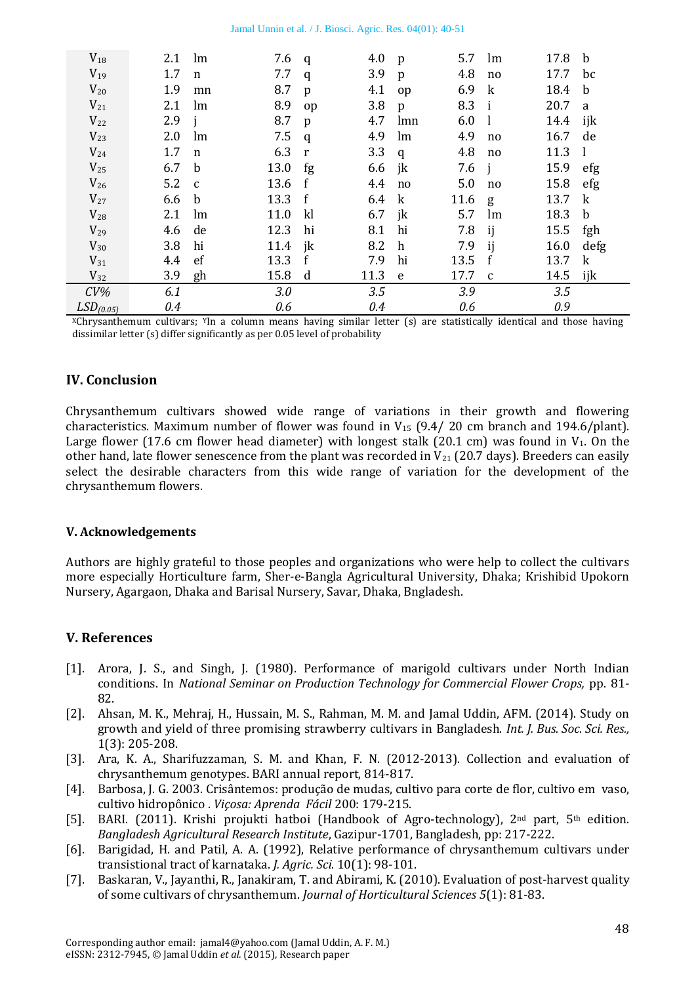|  |  | Jamal Unnin et al. / J. Biosci. Agric. Res. 04(01): 40-51 |  |  |  |
|--|--|-----------------------------------------------------------|--|--|--|
|  |  |                                                           |  |  |  |

| $V_{18}$              | 2.1               | lm          | 7.6  | q  | 4.0    | p            | 5.7  | lm           | 17.8 | b            |
|-----------------------|-------------------|-------------|------|----|--------|--------------|------|--------------|------|--------------|
| $V_{19}$              | 1.7               | $\mathbf n$ | 7.7  | q  | 3.9    | $\mathbf{p}$ | 4.8  | no           | 17.7 | bc           |
| $V_{20}$              | 1.9               | mn          | 8.7  | p  | 4.1    | op           | 6.9  | $\mathbf{k}$ | 18.4 | b            |
| $V_{21}$              | 2.1               | lm          | 8.9  | op | 3.8    | p            | 8.3  | $\mathbf{i}$ | 20.7 | a            |
| $V_{22}$              | 2.9               | -i          | 8.7  | p  | 4.7    | lmn          | 6.0  | - 1          | 14.4 | ijk          |
| $V_{23}$              | 2.0               | lm          | 7.5  | q  | 4.9    | lm           | 4.9  | no.          | 16.7 | de           |
| $V_{24}$              | 1.7               | $\mathbf n$ | 6.3  | r  | 3.3    | q            | 4.8  | no           | 11.3 | -1           |
| $V_{25}$              | 6.7               | b-          | 13.0 | fg | 6.6 jk |              | 7.6  | $\mathbf{i}$ | 15.9 | efg          |
| $V_{26}$              | $5.2\phantom{0}c$ |             | 13.6 | f  | 4.4    | no           | 5.0  | no           | 15.8 | efg          |
| $V_{27}$              | 6.6               | b           | 13.3 | f  | 6.4    | k            | 11.6 | g            | 13.7 | k            |
| $V_{28}$              | 2.1               | lm          | 11.0 | k  | 6.7    | jk           | 5.7  | lm           | 18.3 | b            |
| $V_{29}$              | 4.6               | de          | 12.3 | hi | 8.1    | hi           | 7.8  | ij           | 15.5 | fgh          |
| $V_{30}$              | 3.8               | hi          | 11.4 | jk | 8.2    | h            | 7.9  | ij           | 16.0 | defg         |
| $V_{31}$              | 4.4               | ef          | 13.3 | f  | 7.9    | hi           | 13.5 | f            | 13.7 | $\mathbf{k}$ |
| $V_{32}$              | 3.9               | gh          | 15.8 | d  | 11.3   | e e          | 17.7 | $\mathbf{C}$ | 14.5 | ijk          |
| $CV\%$                | 6.1               |             | 3.0  |    | 3.5    |              | 3.9  |              | 3.5  |              |
| LSD <sub>(0.05)</sub> | 0.4               |             | 0.6  |    | 0.4    |              | 0.6  |              | 0.9  |              |

 $X$ Chrysanthemum cultivars;  $Y$ In a column means having similar letter (s) are statistically identical and those having dissimilar letter (s) differ significantly as per 0.05 level of probability

### **IV. Conclusion**

Chrysanthemum cultivars showed wide range of variations in their growth and flowering characteristics. Maximum number of flower was found in  $V_{15}$  (9.4/ 20 cm branch and 194.6/plant). Large flower (17.6 cm flower head diameter) with longest stalk (20.1 cm) was found in  $V_1$ . On the other hand, late flower senescence from the plant was recorded in  $V_{21}$  (20.7 days). Breeders can easily select the desirable characters from this wide range of variation for the development of the chrysanthemum flowers.

#### **V. Acknowledgements**

Authors are highly grateful to those peoples and organizations who were help to collect the cultivars more especially Horticulture farm, Sher-e-Bangla Agricultural University, Dhaka; Krishibid Upokorn Nursery, Agargaon, Dhaka and Barisal Nursery, Savar, Dhaka, Bngladesh.

### **V. References**

- <span id="page-8-6"></span>[1]. Arora, J. S., and Singh, J. (1980). Performance of marigold cultivars under North Indian conditions. In *National Seminar on Production Technology for Commercial Flower Crops,* pp. 81- 82.
- <span id="page-8-2"></span>[2]. Ahsan, M. K., Mehraj, H., Hussain, M. S., Rahman, M. M. and Jamal Uddin, AFM. (2014). Study on growth and yield of three promising strawberry cultivars in Bangladesh. *Int. J. Bus. Soc. Sci. Res.,* 1(3): 205-208.
- <span id="page-8-3"></span>[3]. Ara, K. A., Sharifuzzaman, S. M. and Khan, F. N. (2012-2013). Collection and evaluation of chrysanthemum genotypes. BARI annual report, 814-817.
- <span id="page-8-0"></span>[4]. Barbosa, J. G. 2003. Crisântemos: produção de mudas, cultivo para corte de flor, cultivo em vaso, cultivo hidropônico . *Viçosa: Aprenda Fácil* 200: 179-215.
- <span id="page-8-1"></span>[5]. BARI. (2011). Krishi projukti hatboi (Handbook of Agro-technology),  $2<sup>nd</sup>$  part,  $5<sup>th</sup>$  edition. *Bangladesh Agricultural Research Institute*, Gazipur-1701, Bangladesh, pp: 217-222.
- <span id="page-8-4"></span>[6]. Barigidad, H. and Patil, A. A. (1992), Relative performance of chrysanthemum cultivars under transistional tract of karnataka. *J. Agric. Sci.* 10(1): 98-101.
- <span id="page-8-5"></span>[7]. Baskaran, V., Jayanthi, R., Janakiram, T. and Abirami, K. (2010). Evaluation of post-harvest quality of some cultivars of chrysanthemum. *Journal of Horticultural Sciences 5*(1): 81-83.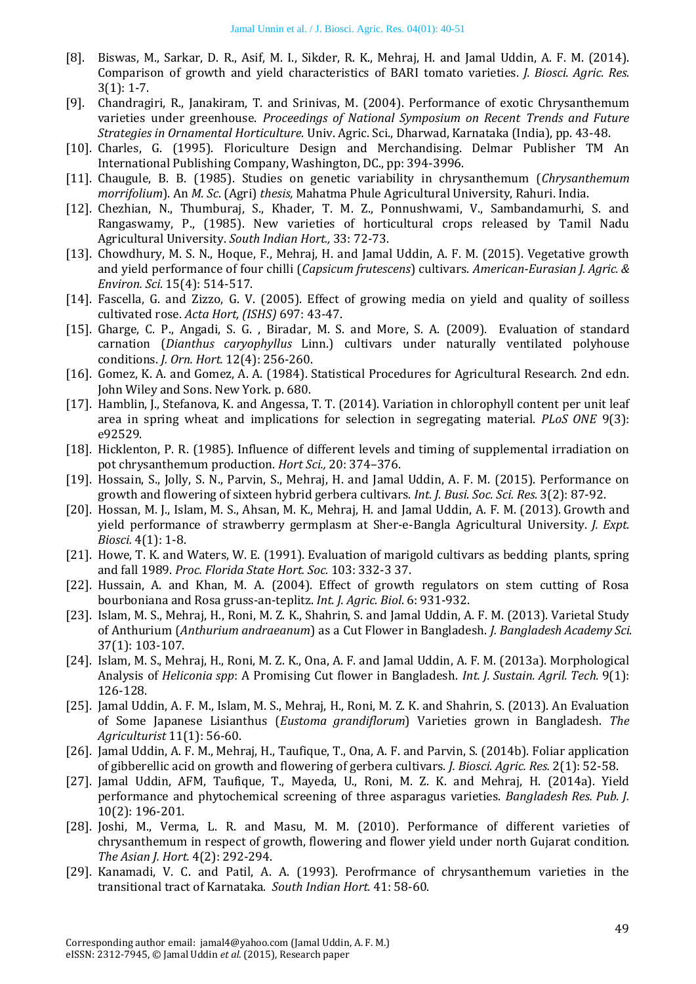- <span id="page-9-7"></span>[8]. Biswas, M., Sarkar, D. R., Asif, M. I., Sikder, R. K., Mehraj, H. and Jamal Uddin, A. F. M. (2014). Comparison of growth and yield characteristics of BARI tomato varieties. *J. Biosci. Agric. Res.*  3(1): 1-7.
- <span id="page-9-11"></span>[9]. Chandragiri, R., Janakiram, T. and Srinivas, M. (2004). Performance of exotic Chrysanthemum varieties under greenhouse. *Proceedings of National Symposium on Recent Trends and Future Strategies in Ornamental Horticulture*. Univ. Agric. Sci., Dharwad, Karnataka (India), pp. 43-48.
- <span id="page-9-17"></span>[10]. Charles, G. (1995). Floriculture Design and Merchandising. Delmar Publisher TM An International Publishing Company, Washington, DC., pp: 394-3996.
- <span id="page-9-14"></span>[11]. Chaugule, B. B. (1985). Studies on genetic variability in chrysanthemum (*Chrysanthemum morrifolium*). An *M. Sc*. (Agri) *thesis,* Mahatma Phule Agricultural University, Rahuri. India.
- <span id="page-9-16"></span>[12]. Chezhian, N., Thumburaj, S., Khader, T. M. Z., Ponnushwami, V., Sambandamurhi, S. and Rangaswamy, P., (1985). New varieties of horticultural crops released by Tamil Nadu Agricultural University. *South Indian Hort.,* 33: 72-73.
- <span id="page-9-8"></span>[13]. Chowdhury, M. S. N., Hoque, F., Mehraj, H. and Jamal Uddin, A. F. M. (2015). Vegetative growth and yield performance of four chilli (*Capsicum frutescens*) cultivars. *American-Eurasian J. Agric. & Environ. Sci.* 15(4): 514-517.
- <span id="page-9-21"></span>[14]. Fascella, G. and Zizzo, G. V. (2005). Effect of growing media on yield and quality of soilless cultivated rose. *Acta Hort, (ISHS)* 697: 43-47.
- <span id="page-9-18"></span>[15]. Gharge, C. P., Angadi, S. G., Biradar, M. S. and More, S. A. (2009). Evaluation of standard carnation (*Dianthus caryophyllus* Linn.) cultivars under naturally ventilated polyhouse conditions. *J. Orn. Hort.* 12(4): 256-260.
- <span id="page-9-10"></span>[16]. Gomez, K. A. and Gomez, A. A. (1984). Statistical Procedures for Agricultural Research. 2nd edn. John Wiley and Sons. New York. p. 680.
- <span id="page-9-19"></span>[17]. Hamblin, J., Stefanova, K. and Angessa, T. T. (2014). Variation in chlorophyll content per unit leaf area in spring wheat and implications for selection in segregating material. *PLoS ONE* 9(3): e92529.
- <span id="page-9-15"></span>[18]. Hicklenton, P. R. (1985). Influence of different levels and timing of supplemental irradiation on pot chrysanthemum production. *Hort Sci.,* 20: 374–376.
- <span id="page-9-1"></span>[19]. Hossain, S., Jolly, S. N., Parvin, S., Mehraj, H. and Jamal Uddin, A. F. M. (2015). Performance on growth and flowering of sixteen hybrid gerbera cultivars. *Int. J. Busi*. *Soc. Sci. Res.* 3(2): 87-92.
- <span id="page-9-6"></span>[20]. Hossan, M. J., Islam, M. S., Ahsan, M. K., Mehraj, H. and Jamal Uddin, A. F. M. (2013). Growth and yield performance of strawberry germplasm at Sher-e-Bangla Agricultural University. *J. Expt. Biosci.* 4(1): 1-8.
- <span id="page-9-20"></span>[21]. Howe, T. K. and Waters, W. E. (1991). Evaluation of marigold cultivars as bedding plants, spring and fall 1989. *Proc. Florida State Hort. Soc.* 103: 332-3 37.
- <span id="page-9-13"></span>[22]. Hussain, A. and Khan, M. A. (2004). Effect of growth regulators on stem cutting of Rosa bourboniana and Rosa gruss-an-teplitz. *Int. J. Agric. Biol*. 6: 931-932.
- <span id="page-9-4"></span>[23]. Islam, M. S., Mehraj, H., Roni, M. Z. K., Shahrin, S. and Jamal Uddin, A. F. M. (2013). Varietal Study of Anthurium (*Anthurium andraeanum*) as a Cut Flower in Bangladesh. *J. Bangladesh Academy Sci.* 37(1): 103-107.
- <span id="page-9-3"></span>[24]. Islam, M. S., Mehraj, H., Roni, M. Z. K., Ona, A. F. and Jamal Uddin, A. F. M. (2013a). Morphological Analysis of *Heliconia spp*: A Promising Cut flower in Bangladesh. *Int. J. Sustain. Agril. Tech.* 9(1): 126-128.
- <span id="page-9-5"></span>[25]. Jamal Uddin, A. F. M., Islam, M. S., Mehraj, H., Roni, M. Z. K. and Shahrin, S. (2013). An Evaluation of Some Japanese Lisianthus (*Eustoma grandiflorum*) Varieties grown in Bangladesh. *The Agriculturist* 11(1): 56-60.
- <span id="page-9-2"></span>[26]. Jamal Uddin, A. F. M., Mehraj, H., Taufique, T., Ona, A. F. and Parvin, S. (2014b). Foliar application of gibberellic acid on growth and flowering of gerbera cultivars. *J. Biosci. Agric. Res.* 2(1): 52-58.
- <span id="page-9-9"></span>[27]. Jamal Uddin, AFM, Taufique, T., Mayeda, U., Roni, M. Z. K. and Mehraj, H. (2014a). Yield performance and phytochemical screening of three asparagus varieties. *Bangladesh Res. Pub. J.* 10(2): 196-201.
- <span id="page-9-0"></span>[28]. Joshi, M., Verma, L. R. and Masu, M. M. (2010). Performance of different varieties of chrysanthemum in respect of growth, flowering and flower yield under north Gujarat condition. *The Asian J. Hort.* 4(2): 292-294.
- <span id="page-9-12"></span>[29]. Kanamadi, V. C. and Patil, A. A. (1993). Perofrmance of chrysanthemum varieties in the transitional tract of Karnataka. *South Indian Hort.* 41: 58-60.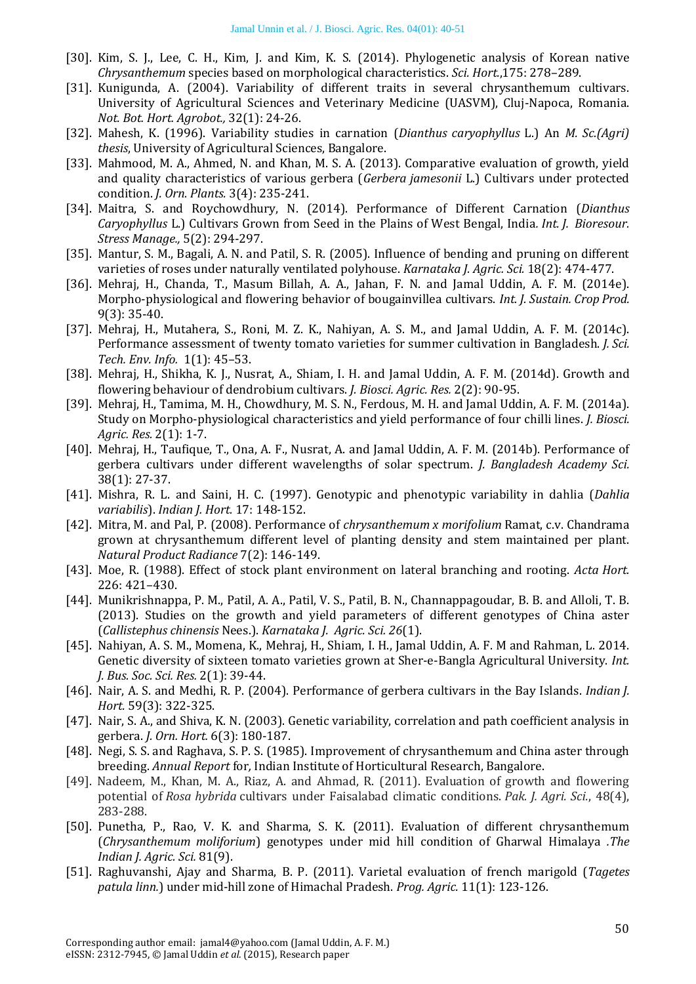- <span id="page-10-6"></span>[30]. Kim, S. J., Lee, C. H., Kim, J. and Kim, K. S. (2014). Phylogenetic analysis of Korean native *Chrysanthemum* species based on morphological characteristics. *Sci. Hort.*,175: 278–289.
- <span id="page-10-19"></span>[31]. Kunigunda, A. (2004). Variability of different traits in several chrysanthemum cultivars. University of Agricultural Sciences and Veterinary Medicine (UASVM), Cluj-Napoca, Romania. *Not. Bot. Hort. Agrobot.,* 32(1): 24-26.
- <span id="page-10-12"></span>[32]. Mahesh, K. (1996). Variability studies in carnation (*Dianthus caryophyllus* L.) An *M. Sc.(Agri) thesis*, University of Agricultural Sciences, Bangalore.
- <span id="page-10-17"></span>[33]. Mahmood, M. A., Ahmed, N. and Khan, M. S. A. (2013). Comparative evaluation of growth, yield and quality characteristics of various gerbera (*Gerbera jamesonii* L.) Cultivars under protected condition. *J. Orn. Plants.* 3(4): 235-241.
- <span id="page-10-10"></span>[34]. Maitra, S. and Roychowdhury, N. (2014). Performance of Different Carnation (*Dianthus Caryophyllus* L.) Cultivars Grown from Seed in the Plains of West Bengal, India*. Int. J. Bioresour. Stress Manage.,* 5(2): 294-297.
- <span id="page-10-20"></span>[35]. Mantur, S. M., Bagali, A. N. and Patil, S. R. (2005). Influence of bending and pruning on different varieties of roses under naturally ventilated polyhouse. *Karnataka J. Agric. Sci.* 18(2): 474-477.
- <span id="page-10-2"></span>[36]. Mehraj, H., Chanda, T., Masum Billah, A. A., Jahan, F. N. and Jamal Uddin, A. F. M. (2014e). Morpho-physiological and flowering behavior of bougainvillea cultivars. *Int. J. Sustain. Crop Prod.* 9(3): 35-40.
- <span id="page-10-4"></span>[37]. Mehraj, H., Mutahera, S., Roni, M. Z. K., Nahiyan, A. S. M., and Jamal Uddin, A. F. M. (2014c). Performance assessment of twenty tomato varieties for summer cultivation in Bangladesh. *J. Sci. Tech. Env. Info.* 1(1): 45–53.
- <span id="page-10-1"></span>[38]. Mehraj, H., Shikha, K. J., Nusrat, A., Shiam, I. H. and Jamal Uddin, A. F. M. (2014d). Growth and flowering behaviour of dendrobium cultivars. *J. Biosci. Agric. Res.* 2(2): 90-95.
- <span id="page-10-5"></span>[39]. Mehraj, H., Tamima, M. H., Chowdhury, M. S. N., Ferdous, M. H. and Jamal Uddin, A. F. M. (2014a). Study on Morpho-physiological characteristics and yield performance of four chilli lines. *J. Biosci. Agric. Res.* 2(1): 1-7.
- <span id="page-10-0"></span>[40]. Mehraj, H., Taufique, T., Ona, A. F., Nusrat, A. and Jamal Uddin, A. F. M. (2014b). Performance of gerbera cultivars under different wavelengths of solar spectrum. *J. Bangladesh Academy Sci.* 38(1): 27-37.
- <span id="page-10-13"></span>[41]. Mishra, R. L. and Saini, H. C. (1997). Genotypic and phenotypic variability in dahlia (*Dahlia variabilis*). *Indian J. Hort.* 17: 148-152.
- [42]. Mitra, M. and Pal, P. (2008). Performance of *chrysanthemum x morifolium* Ramat, c.v. Chandrama grown at chrysanthemum different level of planting density and stem maintained per plant. *Natural Product Radiance* 7(2): 146-149.
- <span id="page-10-8"></span>[43]. Moe, R. (1988). Effect of stock plant environment on lateral branching and rooting. *Acta Hort.*  226: 421–430.
- <span id="page-10-9"></span>[44]. Munikrishnappa, P. M., Patil, A. A., Patil, V. S., Patil, B. N., Channappagoudar, B. B. and Alloli, T. B. (2013). Studies on the growth and yield parameters of different genotypes of China aster (*Callistephus chinensis* Nees.). *Karnataka J. Agric. Sci. 26*(1).
- <span id="page-10-3"></span>[45]. Nahiyan, A. S. M., Momena, K., Mehraj, H., Shiam, I. H., Jamal Uddin, A. F. M and Rahman, L. 2014. Genetic diversity of sixteen tomato varieties grown at Sher-e-Bangla Agricultural University. *Int. J. Bus. Soc. Sci. Res.* 2(1): 39-44.
- <span id="page-10-18"></span>[46]. Nair, A. S. and Medhi, R. P. (2004). Performance of gerbera cultivars in the Bay Islands. *Indian J. Hort.* 59(3): 322-325.
- <span id="page-10-11"></span>[47]. Nair, S. A., and Shiva, K. N. (2003). Genetic variability, correlation and path coefficient analysis in gerbera. *J. Orn. Hort.* 6(3): 180-187.
- <span id="page-10-16"></span>[48]. Negi, S. S. and Raghava, S. P. S. (1985). Improvement of chrysanthemum and China aster through breeding. *Annual Report* for*,* Indian Institute of Horticultural Research, Bangalore.
- <span id="page-10-15"></span>[49]. Nadeem, M., Khan, M. A., Riaz, A. and Ahmad, R. (2011). Evaluation of growth and flowering potential of *Rosa hybrida* cultivars under Faisalabad climatic conditions. *Pak. J. Agri. Sci.*, 48(4), 283-288.
- <span id="page-10-14"></span>[50]. Punetha, P., Rao, V. K. and Sharma, S. K. (2011). Evaluation of different chrysanthemum (*Chrysanthemum moliforium*) genotypes under mid hill condition of Gharwal Himalaya *.The Indian J. Agric. Sci.* 81(9).
- <span id="page-10-7"></span>[51]. Raghuvanshi, Ajay and Sharma, B. P. (2011). Varietal evaluation of french marigold (*Tagetes patula linn.*) under mid-hill zone of Himachal Pradesh. *Prog. Agric.* 11(1): 123-126.